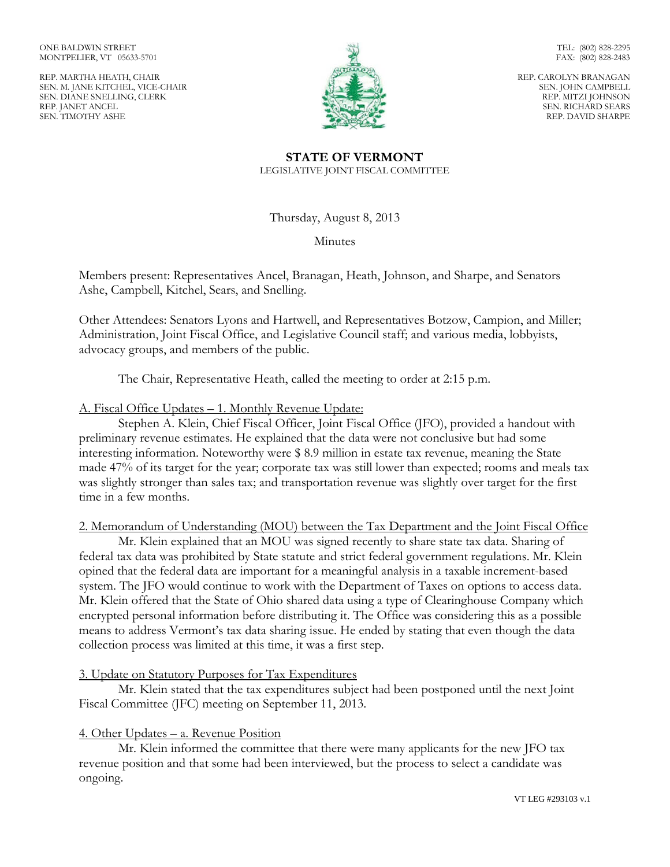ONE BALDWIN STREET MONTPELIER, VT 05633-5701

REP. MARTHA HEATH, CHAIR SEN. M. JANE KITCHEL, VICE-CHAIR SEN. DIANE SNELLING, CLERK REP. JANET ANCEL SEN. TIMOTHY ASHE



FAX: (802) 828-2483 REP. CAROLYN BRANAGAN

TEL: (802) 828-2295

SEN. JOHN CAMPBELL REP. MITZI JOHNSON SEN. RICHARD SEARS REP. DAVID SHARPE

# **STATE OF VERMONT** LEGISLATIVE JOINT FISCAL COMMITTEE

Thursday, August 8, 2013

Minutes

Members present: Representatives Ancel, Branagan, Heath, Johnson, and Sharpe, and Senators Ashe, Campbell, Kitchel, Sears, and Snelling.

Other Attendees: Senators Lyons and Hartwell, and Representatives Botzow, Campion, and Miller; Administration, Joint Fiscal Office, and Legislative Council staff; and various media, lobbyists, advocacy groups, and members of the public.

The Chair, Representative Heath, called the meeting to order at 2:15 p.m.

# A. Fiscal Office Updates – 1. Monthly Revenue Update:

Stephen A. Klein, Chief Fiscal Officer, Joint Fiscal Office (JFO), provided a handout with preliminary revenue estimates. He explained that the data were not conclusive but had some interesting information. Noteworthy were \$ 8.9 million in estate tax revenue, meaning the State made 47% of its target for the year; corporate tax was still lower than expected; rooms and meals tax was slightly stronger than sales tax; and transportation revenue was slightly over target for the first time in a few months.

2. Memorandum of Understanding (MOU) between the Tax Department and the Joint Fiscal Office

Mr. Klein explained that an MOU was signed recently to share state tax data. Sharing of federal tax data was prohibited by State statute and strict federal government regulations. Mr. Klein opined that the federal data are important for a meaningful analysis in a taxable increment-based system. The JFO would continue to work with the Department of Taxes on options to access data. Mr. Klein offered that the State of Ohio shared data using a type of Clearinghouse Company which encrypted personal information before distributing it. The Office was considering this as a possible means to address Vermont's tax data sharing issue. He ended by stating that even though the data collection process was limited at this time, it was a first step.

# 3. Update on Statutory Purposes for Tax Expenditures

Mr. Klein stated that the tax expenditures subject had been postponed until the next Joint Fiscal Committee (JFC) meeting on September 11, 2013.

# 4. Other Updates – a. Revenue Position

Mr. Klein informed the committee that there were many applicants for the new JFO tax revenue position and that some had been interviewed, but the process to select a candidate was ongoing.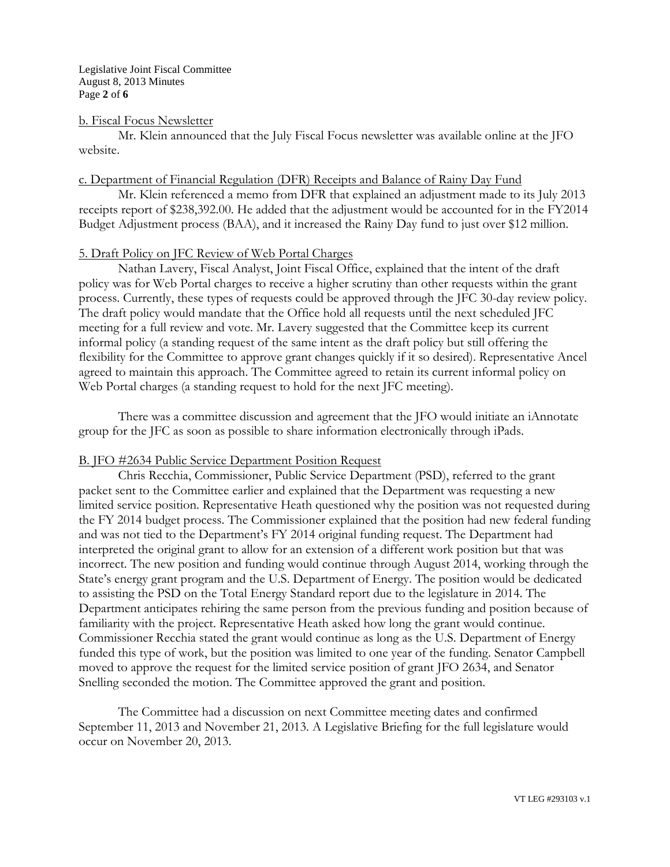#### b. Fiscal Focus Newsletter

Mr. Klein announced that the July Fiscal Focus newsletter was available online at the JFO website.

### c. Department of Financial Regulation (DFR) Receipts and Balance of Rainy Day Fund

Mr. Klein referenced a memo from DFR that explained an adjustment made to its July 2013 receipts report of \$238,392.00. He added that the adjustment would be accounted for in the FY2014 Budget Adjustment process (BAA), and it increased the Rainy Day fund to just over \$12 million.

# 5. Draft Policy on JFC Review of Web Portal Charges

Nathan Lavery, Fiscal Analyst, Joint Fiscal Office, explained that the intent of the draft policy was for Web Portal charges to receive a higher scrutiny than other requests within the grant process. Currently, these types of requests could be approved through the JFC 30-day review policy. The draft policy would mandate that the Office hold all requests until the next scheduled JFC meeting for a full review and vote. Mr. Lavery suggested that the Committee keep its current informal policy (a standing request of the same intent as the draft policy but still offering the flexibility for the Committee to approve grant changes quickly if it so desired). Representative Ancel agreed to maintain this approach. The Committee agreed to retain its current informal policy on Web Portal charges (a standing request to hold for the next JFC meeting).

There was a committee discussion and agreement that the JFO would initiate an iAnnotate group for the JFC as soon as possible to share information electronically through iPads.

### B. JFO #2634 Public Service Department Position Request

Chris Recchia, Commissioner, Public Service Department (PSD), referred to the grant packet sent to the Committee earlier and explained that the Department was requesting a new limited service position. Representative Heath questioned why the position was not requested during the FY 2014 budget process. The Commissioner explained that the position had new federal funding and was not tied to the Department's FY 2014 original funding request. The Department had interpreted the original grant to allow for an extension of a different work position but that was incorrect. The new position and funding would continue through August 2014, working through the State's energy grant program and the U.S. Department of Energy. The position would be dedicated to assisting the PSD on the Total Energy Standard report due to the legislature in 2014. The Department anticipates rehiring the same person from the previous funding and position because of familiarity with the project. Representative Heath asked how long the grant would continue. Commissioner Recchia stated the grant would continue as long as the U.S. Department of Energy funded this type of work, but the position was limited to one year of the funding. Senator Campbell moved to approve the request for the limited service position of grant JFO 2634, and Senator Snelling seconded the motion. The Committee approved the grant and position.

The Committee had a discussion on next Committee meeting dates and confirmed September 11, 2013 and November 21, 2013. A Legislative Briefing for the full legislature would occur on November 20, 2013.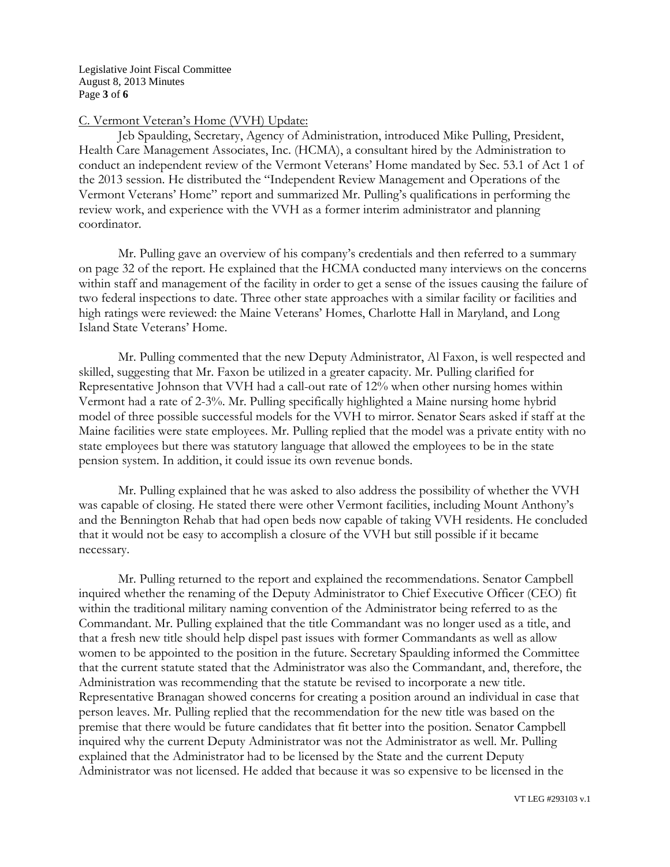Legislative Joint Fiscal Committee August 8, 2013 Minutes Page **3** of **6**

#### C. Vermont Veteran's Home (VVH) Update:

Jeb Spaulding, Secretary, Agency of Administration, introduced Mike Pulling, President, Health Care Management Associates, Inc. (HCMA), a consultant hired by the Administration to conduct an independent review of the Vermont Veterans' Home mandated by Sec. 53.1 of Act 1 of the 2013 session. He distributed the "Independent Review Management and Operations of the Vermont Veterans' Home" report and summarized Mr. Pulling's qualifications in performing the review work, and experience with the VVH as a former interim administrator and planning coordinator.

Mr. Pulling gave an overview of his company's credentials and then referred to a summary on page 32 of the report. He explained that the HCMA conducted many interviews on the concerns within staff and management of the facility in order to get a sense of the issues causing the failure of two federal inspections to date. Three other state approaches with a similar facility or facilities and high ratings were reviewed: the Maine Veterans' Homes, Charlotte Hall in Maryland, and Long Island State Veterans' Home.

Mr. Pulling commented that the new Deputy Administrator, Al Faxon, is well respected and skilled, suggesting that Mr. Faxon be utilized in a greater capacity. Mr. Pulling clarified for Representative Johnson that VVH had a call-out rate of 12% when other nursing homes within Vermont had a rate of 2-3%. Mr. Pulling specifically highlighted a Maine nursing home hybrid model of three possible successful models for the VVH to mirror. Senator Sears asked if staff at the Maine facilities were state employees. Mr. Pulling replied that the model was a private entity with no state employees but there was statutory language that allowed the employees to be in the state pension system. In addition, it could issue its own revenue bonds.

Mr. Pulling explained that he was asked to also address the possibility of whether the VVH was capable of closing. He stated there were other Vermont facilities, including Mount Anthony's and the Bennington Rehab that had open beds now capable of taking VVH residents. He concluded that it would not be easy to accomplish a closure of the VVH but still possible if it became necessary.

Mr. Pulling returned to the report and explained the recommendations. Senator Campbell inquired whether the renaming of the Deputy Administrator to Chief Executive Officer (CEO) fit within the traditional military naming convention of the Administrator being referred to as the Commandant. Mr. Pulling explained that the title Commandant was no longer used as a title, and that a fresh new title should help dispel past issues with former Commandants as well as allow women to be appointed to the position in the future. Secretary Spaulding informed the Committee that the current statute stated that the Administrator was also the Commandant, and, therefore, the Administration was recommending that the statute be revised to incorporate a new title. Representative Branagan showed concerns for creating a position around an individual in case that person leaves. Mr. Pulling replied that the recommendation for the new title was based on the premise that there would be future candidates that fit better into the position. Senator Campbell inquired why the current Deputy Administrator was not the Administrator as well. Mr. Pulling explained that the Administrator had to be licensed by the State and the current Deputy Administrator was not licensed. He added that because it was so expensive to be licensed in the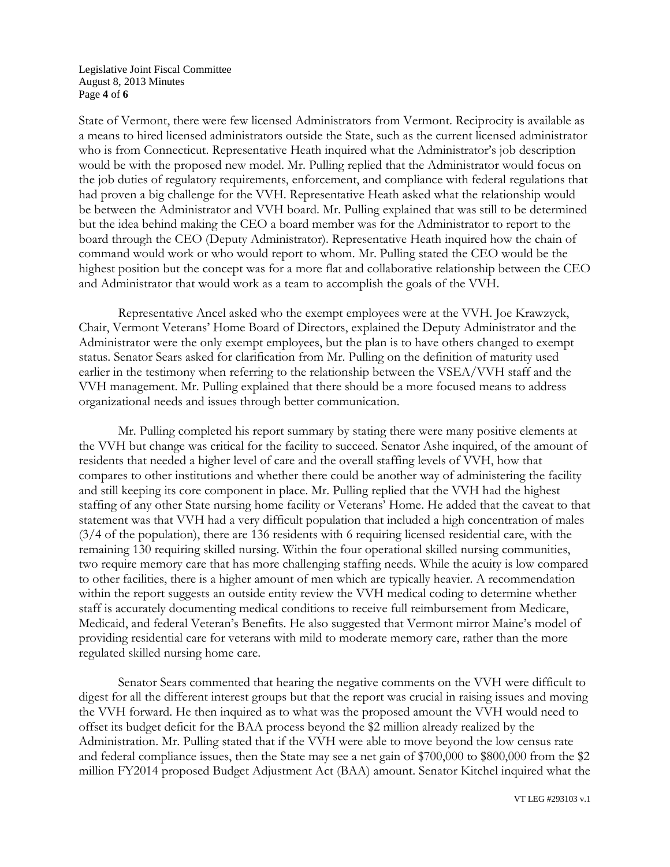#### Legislative Joint Fiscal Committee August 8, 2013 Minutes Page **4** of **6**

State of Vermont, there were few licensed Administrators from Vermont. Reciprocity is available as a means to hired licensed administrators outside the State, such as the current licensed administrator who is from Connecticut. Representative Heath inquired what the Administrator's job description would be with the proposed new model. Mr. Pulling replied that the Administrator would focus on the job duties of regulatory requirements, enforcement, and compliance with federal regulations that had proven a big challenge for the VVH. Representative Heath asked what the relationship would be between the Administrator and VVH board. Mr. Pulling explained that was still to be determined but the idea behind making the CEO a board member was for the Administrator to report to the board through the CEO (Deputy Administrator). Representative Heath inquired how the chain of command would work or who would report to whom. Mr. Pulling stated the CEO would be the highest position but the concept was for a more flat and collaborative relationship between the CEO and Administrator that would work as a team to accomplish the goals of the VVH.

Representative Ancel asked who the exempt employees were at the VVH. Joe Krawzyck, Chair, Vermont Veterans' Home Board of Directors, explained the Deputy Administrator and the Administrator were the only exempt employees, but the plan is to have others changed to exempt status. Senator Sears asked for clarification from Mr. Pulling on the definition of maturity used earlier in the testimony when referring to the relationship between the VSEA/VVH staff and the VVH management. Mr. Pulling explained that there should be a more focused means to address organizational needs and issues through better communication.

Mr. Pulling completed his report summary by stating there were many positive elements at the VVH but change was critical for the facility to succeed. Senator Ashe inquired, of the amount of residents that needed a higher level of care and the overall staffing levels of VVH, how that compares to other institutions and whether there could be another way of administering the facility and still keeping its core component in place. Mr. Pulling replied that the VVH had the highest staffing of any other State nursing home facility or Veterans' Home. He added that the caveat to that statement was that VVH had a very difficult population that included a high concentration of males (3/4 of the population), there are 136 residents with 6 requiring licensed residential care, with the remaining 130 requiring skilled nursing. Within the four operational skilled nursing communities, two require memory care that has more challenging staffing needs. While the acuity is low compared to other facilities, there is a higher amount of men which are typically heavier. A recommendation within the report suggests an outside entity review the VVH medical coding to determine whether staff is accurately documenting medical conditions to receive full reimbursement from Medicare, Medicaid, and federal Veteran's Benefits. He also suggested that Vermont mirror Maine's model of providing residential care for veterans with mild to moderate memory care, rather than the more regulated skilled nursing home care.

Senator Sears commented that hearing the negative comments on the VVH were difficult to digest for all the different interest groups but that the report was crucial in raising issues and moving the VVH forward. He then inquired as to what was the proposed amount the VVH would need to offset its budget deficit for the BAA process beyond the \$2 million already realized by the Administration. Mr. Pulling stated that if the VVH were able to move beyond the low census rate and federal compliance issues, then the State may see a net gain of \$700,000 to \$800,000 from the \$2 million FY2014 proposed Budget Adjustment Act (BAA) amount. Senator Kitchel inquired what the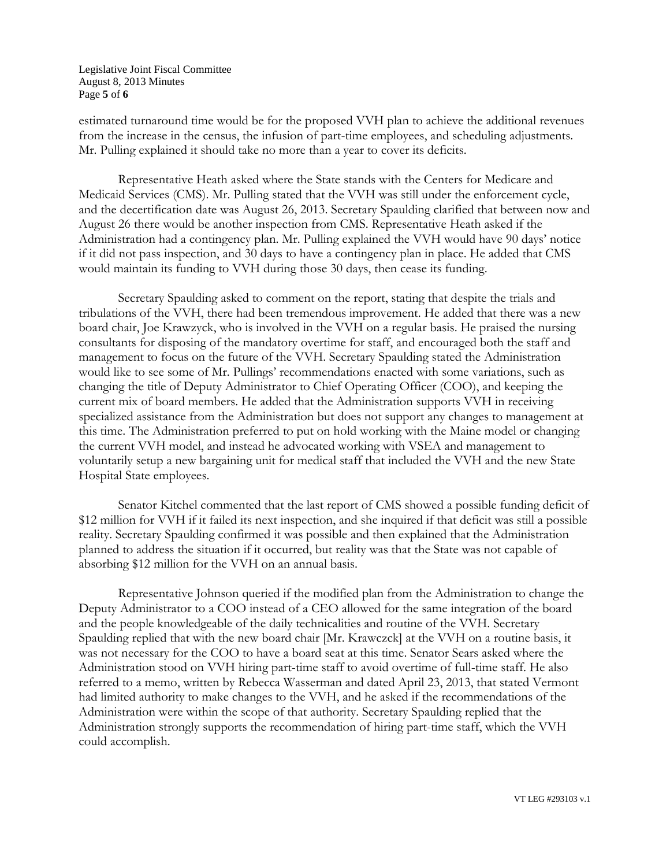Legislative Joint Fiscal Committee August 8, 2013 Minutes Page **5** of **6**

estimated turnaround time would be for the proposed VVH plan to achieve the additional revenues from the increase in the census, the infusion of part-time employees, and scheduling adjustments. Mr. Pulling explained it should take no more than a year to cover its deficits.

Representative Heath asked where the State stands with the Centers for Medicare and Medicaid Services (CMS). Mr. Pulling stated that the VVH was still under the enforcement cycle, and the decertification date was August 26, 2013. Secretary Spaulding clarified that between now and August 26 there would be another inspection from CMS. Representative Heath asked if the Administration had a contingency plan. Mr. Pulling explained the VVH would have 90 days' notice if it did not pass inspection, and 30 days to have a contingency plan in place. He added that CMS would maintain its funding to VVH during those 30 days, then cease its funding.

Secretary Spaulding asked to comment on the report, stating that despite the trials and tribulations of the VVH, there had been tremendous improvement. He added that there was a new board chair, Joe Krawzyck, who is involved in the VVH on a regular basis. He praised the nursing consultants for disposing of the mandatory overtime for staff, and encouraged both the staff and management to focus on the future of the VVH. Secretary Spaulding stated the Administration would like to see some of Mr. Pullings' recommendations enacted with some variations, such as changing the title of Deputy Administrator to Chief Operating Officer (COO), and keeping the current mix of board members. He added that the Administration supports VVH in receiving specialized assistance from the Administration but does not support any changes to management at this time. The Administration preferred to put on hold working with the Maine model or changing the current VVH model, and instead he advocated working with VSEA and management to voluntarily setup a new bargaining unit for medical staff that included the VVH and the new State Hospital State employees.

Senator Kitchel commented that the last report of CMS showed a possible funding deficit of \$12 million for VVH if it failed its next inspection, and she inquired if that deficit was still a possible reality. Secretary Spaulding confirmed it was possible and then explained that the Administration planned to address the situation if it occurred, but reality was that the State was not capable of absorbing \$12 million for the VVH on an annual basis.

Representative Johnson queried if the modified plan from the Administration to change the Deputy Administrator to a COO instead of a CEO allowed for the same integration of the board and the people knowledgeable of the daily technicalities and routine of the VVH. Secretary Spaulding replied that with the new board chair [Mr. Krawczck] at the VVH on a routine basis, it was not necessary for the COO to have a board seat at this time. Senator Sears asked where the Administration stood on VVH hiring part-time staff to avoid overtime of full-time staff. He also referred to a memo, written by Rebecca Wasserman and dated April 23, 2013, that stated Vermont had limited authority to make changes to the VVH, and he asked if the recommendations of the Administration were within the scope of that authority. Secretary Spaulding replied that the Administration strongly supports the recommendation of hiring part-time staff, which the VVH could accomplish.